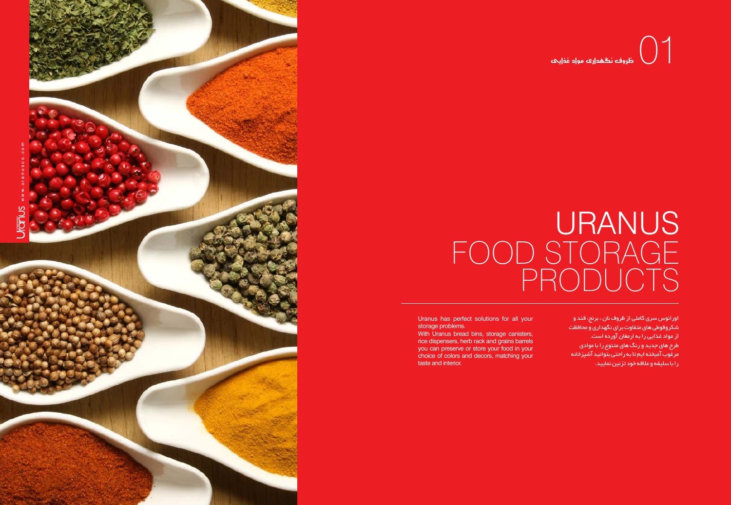

## **URANUS** FOOD STORAGE  $\mathsf{P}% _{0}\!\left( \mathcal{N}_{0}\right)$

Uranus has perfect solutions for all your storage problems.

With Uranus bread bins, storage canisters, rice dispensers, herb rack and grains barrels you can preserve or store your food in your choice of colors and decors, matching your taste and interior.

## د مونه الشهري مورد المغايات  $\bigcup_{\vec{a}}$

اورانوس سری کاملی از ظروف نان ، برنج، قند و شکروقوطی های متفاوت برای نگهداری و محافظت از مواد غذایی را به ارمغان آورده است. طرح های جدید و رنگ های متنوع را با موادی مرغوب آمیخته ایم تا به راحتی بتوانید آشپزخانه را با سلیقه و عالقه خود تزئین نمایید.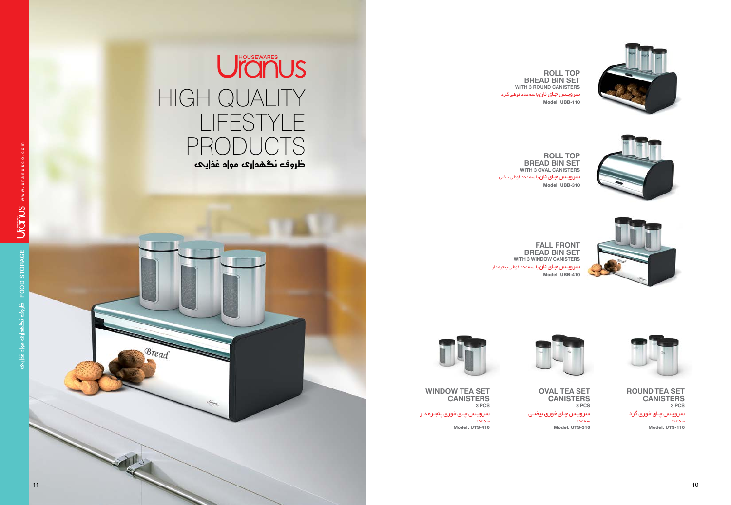

![](_page_1_Picture_13.jpeg)

![](_page_1_Picture_14.jpeg)

س<mark>ر ویـس جـای نان</mark> با سه عدد قوطـی گـرد Model: UBB-110 **ROLL TOP BREAD BIN SET** WITH 3 ROUND CANISTER

سرویـس جـای نان با سه عدد قوطـی بیضی Model: UBB-310 **ROLL TOP BREAD BIN SET** WITH 3 OVAL CANISTEF

> **BREAD BIN SET WITH 3 WINDOW CANISTEF**

![](_page_1_Picture_4.jpeg)

سرویـس چـای خوری بیضـی سه عدد Model: UTS-310

![](_page_1_Picture_19.jpeg)

سرویـس چـای خوری پنجـره دار سه عدد Model: UTS-410

## UICINUS HIGH QUALITY lifestyle productsظروف نگهداری مواد غذایی

سه عدد Model: UTS-110

![](_page_1_Picture_15.jpeg)

![](_page_1_Picture_16.jpeg)

**OVAL TEA SET CANISTER Pcs 3**

**WINDOW TEA SET CANISTER Pcs 3**

سرویـس چـای خوری گرد **ROUND TEA SET CANISTER Pcs 3**